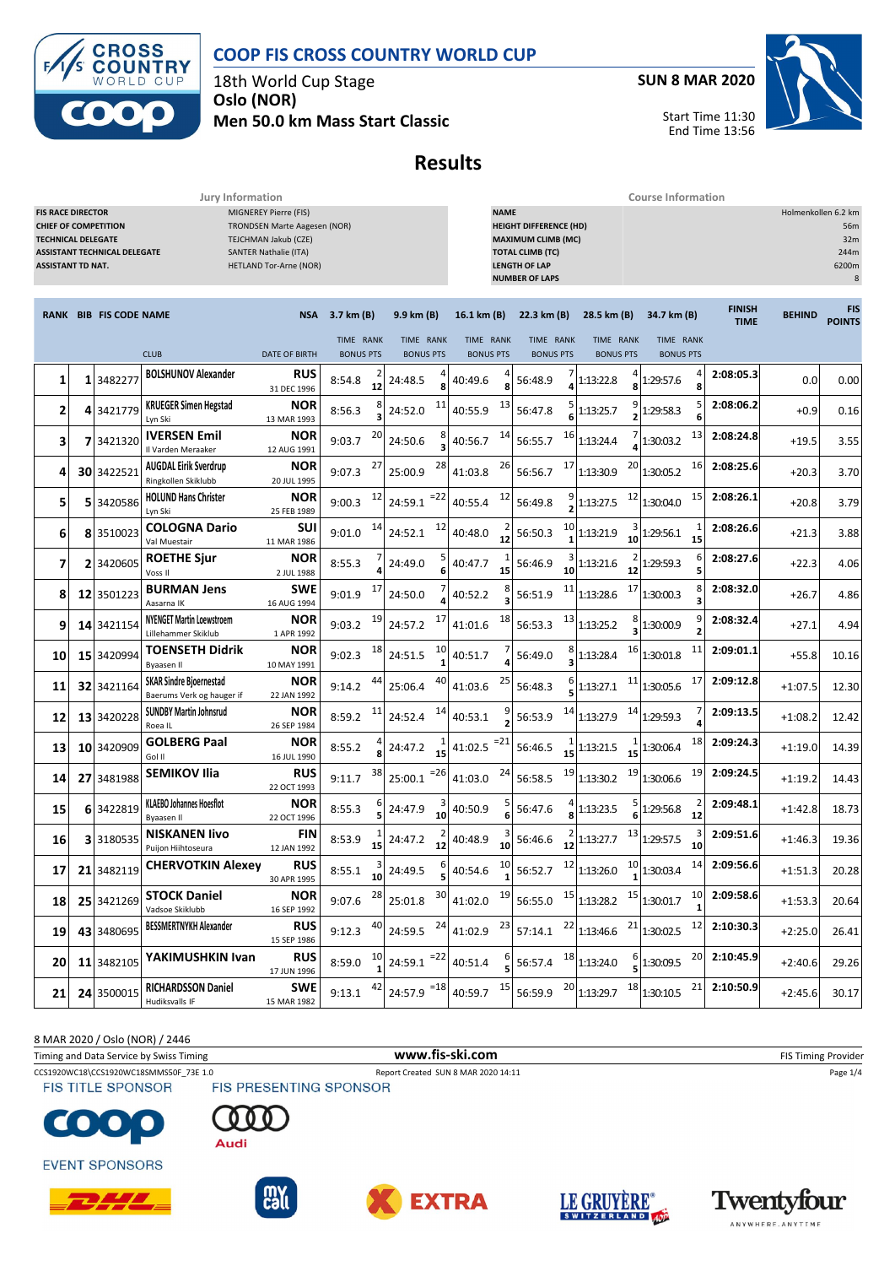



18th World Cup Stage **Oslo (NOR)**

**SUN 8 MAR 2020**

Start Time 11:30

End Time 13:56



**Men 50.0 km Mass Start Classic**

**Results**

|                                                                                                                                                                                                                                                                                                           |  |                               | Jury Information                                            |                           | <b>Course Information</b>     |                               |                               |                 |                                                                                                                                                                                                                  |                    |                               |    |                               |                           |                               |                              |               |                             |
|-----------------------------------------------------------------------------------------------------------------------------------------------------------------------------------------------------------------------------------------------------------------------------------------------------------|--|-------------------------------|-------------------------------------------------------------|---------------------------|-------------------------------|-------------------------------|-------------------------------|-----------------|------------------------------------------------------------------------------------------------------------------------------------------------------------------------------------------------------------------|--------------------|-------------------------------|----|-------------------------------|---------------------------|-------------------------------|------------------------------|---------------|-----------------------------|
| MIGNEREY Pierre (FIS)<br><b>FIS RACE DIRECTOR</b><br><b>CHIEF OF COMPETITION</b><br><b>TRONDSEN Marte Aagesen (NOR)</b><br>TEJCHMAN Jakub (CZE)<br><b>TECHNICAL DELEGATE</b><br><b>ASSISTANT TECHNICAL DELEGATE</b><br>SANTER Nathalie (ITA)<br><b>ASSISTANT TD NAT.</b><br><b>HETLAND Tor-Arne (NOR)</b> |  |                               |                                                             |                           |                               |                               |                               |                 | <b>NAME</b><br>Holmenkollen 6.2 km<br><b>HEIGHT DIFFERENCE (HD)</b><br>56m<br><b>MAXIMUM CLIMB (MC)</b><br>32m<br><b>TOTAL CLIMB (TC)</b><br>244m<br><b>LENGTH OF LAP</b><br>6200m<br><b>NUMBER OF LAPS</b><br>8 |                    |                               |    |                               |                           |                               |                              |               |                             |
|                                                                                                                                                                                                                                                                                                           |  | <b>RANK BIB FIS CODE NAME</b> |                                                             | <b>NSA</b>                | 3.7 km (B)                    |                               | 9.9 km (B)                    |                 | 16.1 km (B)                                                                                                                                                                                                      |                    | 22.3 km (B)                   |    | 28.5 km (B)                   | 34.7 km (B)               |                               | <b>FINISH</b><br><b>TIME</b> | <b>BEHIND</b> | <b>FIS</b><br><b>POINTS</b> |
|                                                                                                                                                                                                                                                                                                           |  |                               | <b>CLUB</b>                                                 | <b>DATE OF BIRTH</b>      | TIME RANK<br><b>BONUS PTS</b> |                               | TIME RANK<br><b>BONUS PTS</b> |                 | TIME RANK<br><b>BONUS PTS</b>                                                                                                                                                                                    |                    | TIME RANK<br><b>BONUS PTS</b> |    | TIME RANK<br><b>BONUS PTS</b> |                           | TIME RANK<br><b>BONUS PTS</b> |                              |               |                             |
| 1                                                                                                                                                                                                                                                                                                         |  | 1 3482277                     | <b>BOLSHUNOV Alexander</b>                                  | <b>RUS</b><br>31 DEC 1996 | 8:54.8                        | 12                            | 24:48.5                       |                 | 40:49.6                                                                                                                                                                                                          | ጸ                  | 56:48.9                       |    | 1:13:22.8                     | 1:29:57.6                 | 8                             | 2:08:05.3                    | 0.0           | 0.00                        |
| 2                                                                                                                                                                                                                                                                                                         |  | 4 3421779                     | <b>KRUEGER Simen Hegstad</b><br>Lyn Ski                     | NOR<br>13 MAR 1993        | 8:56.3                        | 8<br>3                        | 24:52.0                       | 11              | 40:55.9                                                                                                                                                                                                          | 13                 | 56:47.8                       |    | 1:13:25.7                     | 1:29:58.3                 | 5<br>6                        | 2:08:06.2                    | $+0.9$        | 0.16                        |
| 3                                                                                                                                                                                                                                                                                                         |  | 7 3421320                     | <b>IVERSEN Emil</b><br>Il Varden Meraaker                   | NOR<br>12 AUG 1991        | 9:03.7                        | 20                            | 24:50.6                       |                 | 40:56.7                                                                                                                                                                                                          | 14                 | 56:55.7                       | 16 | 1:13:24.4                     | 1:30:03.2                 | 13                            | 2:08:24.8                    | $+19.5$       | 3.55                        |
| 4                                                                                                                                                                                                                                                                                                         |  | 30 3422521                    | <b>AUGDAL Eirik Sverdrup</b><br>Ringkollen Skiklubb         | <b>NOR</b><br>20 JUL 1995 | 9:07.3                        | 27                            | 25:00.9                       | 28              | 41:03.8                                                                                                                                                                                                          | 26                 | 56:56.7                       | 17 | 20<br>1:13:30.9               | 1:30:05.2                 | 16                            | 2:08:25.6                    | $+20.3$       | 3.70                        |
| 5                                                                                                                                                                                                                                                                                                         |  | 5 3420586                     | <b>HOLUND Hans Christer</b><br>Lyn Ski                      | NOR<br>25 FEB 1989        | 9:00.3                        | 12                            | 24:59.1                       | $= 22$          | 40:55.4                                                                                                                                                                                                          | 12                 | 56:49.8                       |    | 12<br>1:13:27.5               | 1:30:04.0                 | 15                            | 2:08:26.1                    | $+20.8$       | 3.79                        |
| 6                                                                                                                                                                                                                                                                                                         |  | 8 3510023                     | <b>COLOGNA Dario</b><br>Val Muestair                        | SUI<br>11 MAR 1986        | 9:01.0                        | 14                            | 24:52.1                       | 12              | 40:48.0                                                                                                                                                                                                          | $\frac{2}{12}$     | 56:50.3                       | 10 | 1:13:21.9<br>10               | 1:29:56.1                 | 15                            | 2:08:26.6                    | $+21.3$       | 3.88                        |
| 7                                                                                                                                                                                                                                                                                                         |  | 2 3420605                     | <b>ROETHE Sjur</b><br>Voss II                               | NOR<br>2 JUL 1988         | 8:55.3                        |                               | 24:49.0                       |                 | 40:47.7                                                                                                                                                                                                          | 15                 | 56:46.9                       | 10 | 1:13:21.6<br>12               | 1:29:59.3                 | 6<br>5                        | 2:08:27.6                    | $+22.3$       | 4.06                        |
| 8                                                                                                                                                                                                                                                                                                         |  | 12 3501223                    | <b>BURMAN Jens</b><br>Aasarna IK                            | <b>SWE</b><br>16 AUG 1994 | 9:01.9                        | 17                            | 24:50.0                       |                 | 40:52.2                                                                                                                                                                                                          | 8                  | 56:51.9                       | 11 | 17<br>1:13:28.6               | 1:30:00.3                 | 8<br>3                        | 2:08:32.0                    | $+26.7$       | 4.86                        |
| 9                                                                                                                                                                                                                                                                                                         |  | 14 3421154                    | <b>NYENGET Martin Loewstroem</b><br>Lillehammer Skiklub     | <b>NOR</b><br>1 APR 1992  | 9:03.2                        | 19                            | 24:57.2                       | 17              | 41:01.6                                                                                                                                                                                                          | 18                 | 56:53.3                       | 13 | 1:13:25.2                     | 1:30:00.9                 | 9                             | 2:08:32.4                    | $+27.1$       | 4.94                        |
| 10                                                                                                                                                                                                                                                                                                        |  | 15 3420994                    | <b>TOENSETH Didrik</b><br>Byaasen II                        | NOR<br>10 MAY 1991        | 9:02.3                        | 18                            | 24:51.5                       | 10              | 40:51.7                                                                                                                                                                                                          |                    | 56:49.0                       |    | 16<br>1:13:28.4               | 1:30:01.8                 | 11                            | 2:09:01.1                    | $+55.8$       | 10.16                       |
| 11                                                                                                                                                                                                                                                                                                        |  | 32 3421164                    | <b>SKAR Sindre Bjoernestad</b><br>Baerums Verk og hauger if | NOR<br>22 JAN 1992        | 9:14.2                        | 44                            | 25:06.4                       | 40              | 41:03.6                                                                                                                                                                                                          | 25                 | 56:48.3                       | 6  | 11<br>1:13:27.1               | 1:30:05.6                 | 17                            | 2:09:12.8                    | $+1:07.5$     | 12.30                       |
| 12                                                                                                                                                                                                                                                                                                        |  | 13 3420228                    | <b>SUNDBY Martin Johnsrud</b><br>Roea IL                    | NOR<br>26 SEP 1984        | 8:59.2                        | 11                            | 24:52.4                       | 14              | 40:53.1                                                                                                                                                                                                          | $\overline{2}$     | 56:53.9                       | 14 | 14<br>1:13:27.9               | 1:29:59.3                 | 4                             | 2:09:13.5                    | $+1:08.2$     | 12.42                       |
| 13                                                                                                                                                                                                                                                                                                        |  | 10 3420909                    | <b>GOLBERG Paal</b><br>Gol II                               | NOR<br>16 JUL 1990        | 8:55.2                        |                               | 24:47.2                       | 15              | 41:02.5                                                                                                                                                                                                          | $= 21$             | 56:46.5                       | 15 | 1:13:21.5<br>15               | 1:30:06.4                 | 18                            | 2:09:24.3                    | $+1:19.0$     | 14.39                       |
| 14                                                                                                                                                                                                                                                                                                        |  | 27 3481988                    | <b>SEMIKOV Ilia</b>                                         | <b>RUS</b><br>22 OCT 1993 | 9:11.7                        | 38                            | 25:00.1                       | $= 26$          | 41:03.0                                                                                                                                                                                                          | 24                 | 56:58.5                       | 19 | 19<br>1:13:30.2               | 1:30:06.6                 | 19                            | 2:09:24.5                    | $+1:19.2$     | 14.43                       |
| 15                                                                                                                                                                                                                                                                                                        |  | 6 3422819                     | <b>KLAEBO Johannes Hoesflot</b><br>Byaasen II               | <b>NOR</b><br>22 OCT 1996 | 8:55.3                        |                               | 24:47.9                       | 10              | 40:50.9                                                                                                                                                                                                          | 5<br>6             | 56:47.6                       |    | 1:13:23.5                     | 1:29:56.8                 | 12                            | 2:09:48.1                    | $+1:42.8$     | 18.73                       |
| 16                                                                                                                                                                                                                                                                                                        |  | 3 3180535                     | <b>NISKANEN livo</b><br>Puijon Hiihtoseura                  | FIN<br>12 JAN 1992        | 8:53.9                        | 15                            | 24:47.2                       | 12              | 40:48.9                                                                                                                                                                                                          | 10                 | 56:46.6                       | 12 | 13<br>1:13:27.7               | 1:29:57.5                 | 3<br>10                       | 2:09:51.6                    | $+1:46.3$     | 19.36                       |
| 17                                                                                                                                                                                                                                                                                                        |  | 21 3482119                    | <b>CHERVOTKIN Alexey</b>                                    | <b>RUS</b><br>30 APR 1995 | 8:55.1                        | $\overline{\mathbf{a}}$<br>10 | 24:49.5                       |                 | 40:54.6                                                                                                                                                                                                          | 10<br>$\mathbf{1}$ | 56:52.7                       |    | $12$ 1:13:26.0                | $\frac{10}{1}$ 1:30:03.4  | 14                            | 2:09:56.6                    | $+1:51.3$     | 20.28                       |
| 18                                                                                                                                                                                                                                                                                                        |  | 25 3421269                    | <b>STOCK Daniel</b><br>Vadsoe Skiklubb                      | <b>NOR</b><br>16 SEP 1992 | 9:07.6                        | 28                            | 25:01.8                       | 30 <sub>l</sub> | 41:02.0                                                                                                                                                                                                          | 19                 | 56:55.0                       |    | $15$ 1:13:28.2                | $15$ <sub>1:30:01.7</sub> | 10                            | 2:09:58.6                    | $+1:53.3$     | 20.64                       |
| 19                                                                                                                                                                                                                                                                                                        |  | 43 3480695                    | <b>BESSMERTNYKH Alexander</b>                               | <b>RUS</b><br>15 SEP 1986 | 9:12.3                        | 40                            | 24:59.5                       |                 | $24$ 41:02.9                                                                                                                                                                                                     | 23                 | 57:14.1                       |    | $22$ 1:13:46.6                | $21$ <sub>1:30:02.5</sub> | 12                            | 2:10:30.3                    | $+2:25.0$     | 26.41                       |
| 20                                                                                                                                                                                                                                                                                                        |  | 11 3482105                    | YAKIMUSHKIN Ivan                                            | <b>RUS</b><br>17 JUN 1996 | 8:59.0                        | 10                            | $24:59.1$ <sup>=22</sup>      |                 | 40:51.4                                                                                                                                                                                                          | 6                  | 56:57.4                       | 18 | 1:13:24.0                     | 1:30:09.5                 | 20                            | 2:10:45.9                    | $+2:40.6$     | 29.26                       |
| 21                                                                                                                                                                                                                                                                                                        |  | 24 3500015                    | <b>RICHARDSSON Daniel</b><br>Hudiksvalls IF                 | <b>SWE</b><br>15 MAR 1982 | 9:13.1                        | 42                            | 24:57.9 $^{-18}$ 40:59.7      |                 |                                                                                                                                                                                                                  | 15                 | 56:59.9                       |    | $20$ <sub>1:13:29.7</sub>     | $18$ <sub>1:30:10.5</sub> | 21                            | 2:10:50.9                    | $+2:45.6$     | 30.17                       |

8 MAR 2020 / Oslo (NOR) / 2446

Timing and Data Service by Swiss Timing **WWW.fis-Ski.com WWW.fis-Ski.com** FIS Timing Provider CCS1920WC18\CCS1920WC18SMMS50F\_73E 1.0 Report Created SUN 8 MAR 2020 14:11 Page 1/4<br>FIS TITLE SPONSOR FIS PRESENTING SPONSOR Audi











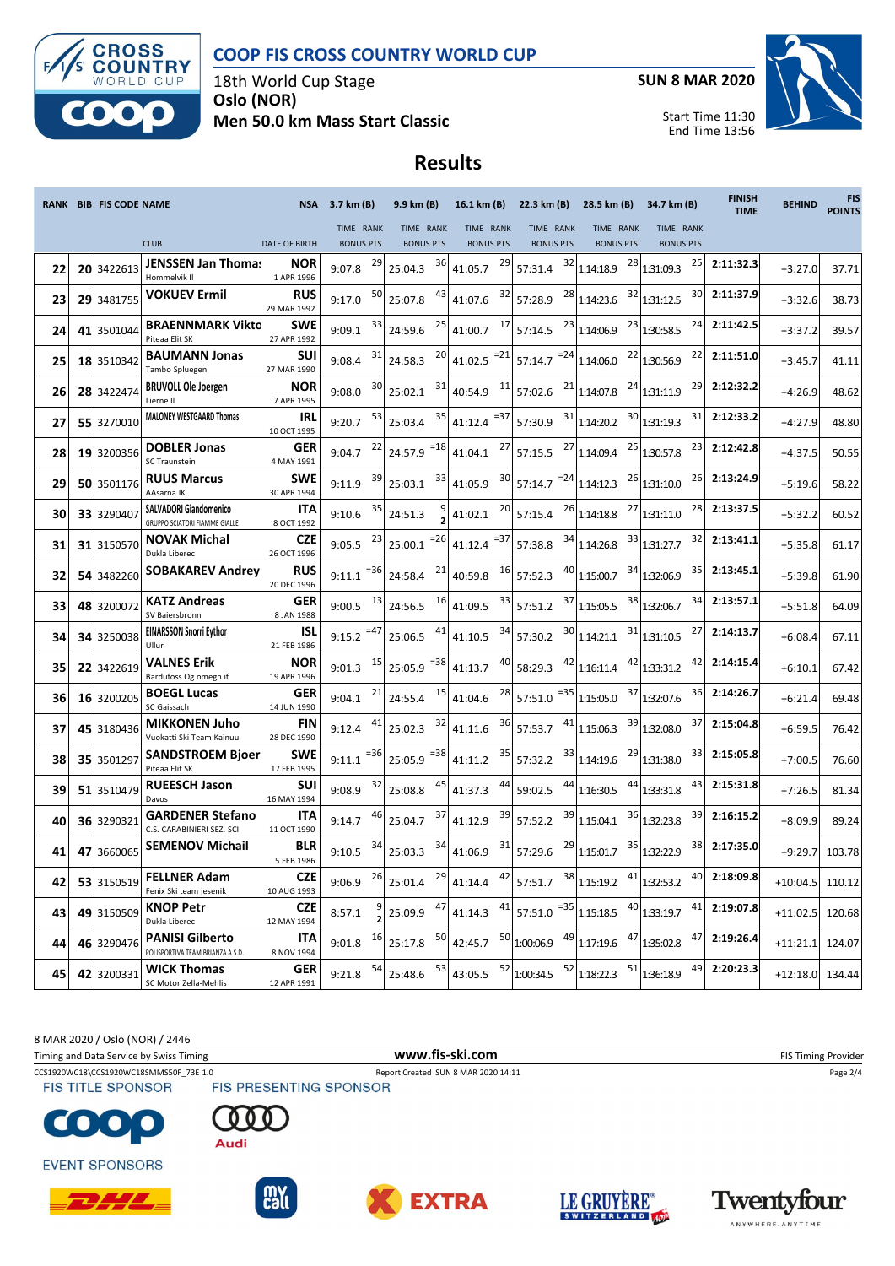



18th World Cup Stage **Oslo (NOR) Men 50.0 km Mass Start Classic** **SUN 8 MAR 2020**



Start Time 11:30 End Time 13:56

## **Results**

|    | RANK BIB FIS CODE NAME |                                                                | <b>NSA</b>                       | 3.7 km (B)                    |        | 9.9 km (B)                    | 16.1 km (B)                                 | 22.3 km (B)      |                               | 28.5 km (B)                                                                                                  | 34.7 km (B)                     | <b>FINISH</b><br><b>TIME</b> | <b>BEHIND</b>     | <b>FIS</b><br><b>POINTS</b> |
|----|------------------------|----------------------------------------------------------------|----------------------------------|-------------------------------|--------|-------------------------------|---------------------------------------------|------------------|-------------------------------|--------------------------------------------------------------------------------------------------------------|---------------------------------|------------------------------|-------------------|-----------------------------|
|    |                        | <b>CLUB</b>                                                    | <b>DATE OF BIRTH</b>             | TIME RANK<br><b>BONUS PTS</b> |        | TIME RANK<br><b>BONUS PTS</b> | TIME RANK<br><b>BONUS PTS</b>               |                  | TIME RANK<br><b>BONUS PTS</b> | TIME RANK<br><b>BONUS PTS</b>                                                                                | TIME RANK<br><b>BONUS PTS</b>   |                              |                   |                             |
| 22 | 20 3422613             | JENSSEN Jan Thoma:                                             | NOR                              | 9:07.8                        | 29     | 36<br>25:04.3                 | 29<br>41:05.7                               | 57:31.4          | 32                            | 1:14:18.9                                                                                                    | $28$ 1:31:09.3<br>25            | 2:11:32.3                    | $+3:27.0$         | 37.71                       |
| 23 | 29 3481755             | Hommelvik II<br><b>VOKUEV Ermil</b>                            | 1 APR 1996<br><b>RUS</b>         | 9:17.0                        | 50     | 43<br>25:07.8                 | 32<br>41:07.6                               | 57:28.9          | 28                            | 1:14:23.6                                                                                                    | 32 1:31:12.5<br>30              | 2:11:37.9                    | $+3:32.6$         | 38.73                       |
| 24 | 41 3501044             | <b>BRAENNMARK Vikto</b>                                        | 29 MAR 1992<br>SWE               | 9:09.1                        | 33     | 25<br>24:59.6                 | 17<br>41:00.7                               | 57:14.5          | 23                            | 1:14:06.9                                                                                                    | $23$ 1:30:58.5<br>24            | 2:11:42.5                    | $+3:37.2$         | 39.57                       |
| 25 | 18 3510342             | Piteaa Elit SK<br><b>BAUMANN Jonas</b>                         | 27 APR 1992<br>SUI               | 9:08.4                        | 31     | 20<br>24:58.3                 | $41:02.5$ <sup>=21</sup>                    | 57:14.7 $^{-24}$ |                               | 1:14:06.0                                                                                                    | 22 1:30:56.9<br>22              | 2:11:51.0                    | $+3:45.7$         | 41.11                       |
| 26 | 28 3422474             | Tambo Spluegen<br><b>BRUVOLL Ole Joergen</b>                   | 27 MAR 1990<br>NOR               | 9:08.0                        | 30     | 31<br>25:02.1                 | 11<br>40:54.9                               | 57:02.6          |                               | $21$ <sub>1:14:07.8</sub>                                                                                    | $24$ 1:31:11.9<br>29            | 2:12:32.2                    | $+4:26.9$         | 48.62                       |
| 27 | 55 3270010             | Lierne II<br><b>MALONEY WESTGAARD Thomas</b>                   | 7 APR 1995<br>IRL<br>10 OCT 1995 | 9:20.7                        | 53     | 35<br>25:03.4                 | $= 37$<br>41:12.4                           | 57:30.9          | 31                            | 30<br>1:14:20.2                                                                                              | 31<br>1:31:19.3                 | 2:12:33.2                    | $+4:27.9$         | 48.80                       |
| 28 | 19 3200356             | <b>DOBLER Jonas</b><br><b>SC Traunstein</b>                    | <b>GER</b><br>4 MAY 1991         | 9:04.7                        | 22     | $=18$<br>24:57.9              | 27<br>41:04.1                               | 57:15.5          | 27                            | 1:14:09.4                                                                                                    | $25$ 1:30:57.8<br>23            | 2:12:42.8                    | $+4:37.5$         | 50.55                       |
| 29 | 50 3501176             | <b>RUUS Marcus</b><br>AAsarna IK                               | <b>SWE</b><br>30 APR 1994        | 9:11.9                        | 39     | 33<br>25:03.1                 | 30<br>41:05.9                               | 57:14.7 $^{-24}$ |                               | 1:14:12.3                                                                                                    | $26$ <sub>1:31:10.0</sub><br>26 | 2:13:24.9                    | $+5:19.6$         | 58.22                       |
| 30 | 33 3290407             | <b>SALVADORI Giandomenico</b><br>GRUPPO SCIATORI FIAMME GIALLE | ITA<br>8 OCT 1992                | 9:10.6                        | 35     | 24:51.3                       | 41:02.1                                     | 20<br>57:15.4    | 26                            | 27<br>1:14:18.8                                                                                              | 28<br>1:31:11.0                 | 2:13:37.5                    | +5:32.2           | 60.52                       |
| 31 | 31 3150570             | <b>NOVAK Michal</b><br>Dukla Liberec                           | <b>CZE</b><br>26 OCT 1996        | 9:05.5                        | 23     | $= 26$<br>25:00.1             | 41:12.4 $^{-37}$                            | 57:38.8          | 34                            | 1:14:26.8                                                                                                    | $33$ 1:31:27.7<br>32            | 2:13:41.1                    | $+5:35.8$         | 61.17                       |
| 32 | 54 3482260             | <b>SOBAKAREV Andrey</b>                                        | RUS<br>20 DEC 1996               | 9:11.1                        | $= 36$ | 21<br>24:58.4                 | 16<br>40:59.8                               | 57:52.3          | 40                            | 1:15:00.7                                                                                                    | $34$ 1:32:06.9<br>35            | 2:13:45.1                    | $+5:39.8$         | 61.90                       |
| 33 | 48 3200072             | <b>KATZ Andreas</b><br>SV Baiersbronn                          | <b>GER</b><br>8 JAN 1988         | 9:00.5                        | 13     | 16<br>24:56.5                 | 33<br>41:09.5                               | 57:51.2          | 37                            | 1:15:05.5                                                                                                    | $38$ <sub>1:32:06.7</sub><br>34 | 2:13:57.1                    | $+5:51.8$         | 64.09                       |
| 34 | 34 3250038             | <b>EINARSSON Snorri Eythor</b><br>Ullur                        | ISL<br>21 FEB 1986               | $9:15.2$ <sup>=47</sup>       |        | 41<br>25:06.5                 | 34<br>41:10.5                               | 57:30.2          | 30                            | 1:14:21.1                                                                                                    | $31$ <sub>1:31:10.5</sub><br>27 | 2:14:13.7                    | $+6:08.4$         | 67.11                       |
| 35 | 22 3422619             | VALNES Erik<br>Bardufoss Og omegn if                           | <b>NOR</b><br>19 APR 1996        | 9:01.3                        | 15     | =38<br>25:05.9                | 41:13.7                                     | 40<br>58:29.3    | 42                            | 1:16:11.4                                                                                                    | 42 1:33:31.2<br>42              | 2:14:15.4                    | $+6:10.1$         | 67.42                       |
| 36 | 16 3200205             | <b>BOEGL Lucas</b><br>SC Gaissach                              | GER<br>14 JUN 1990               | 9:04.1                        | 21     | 15<br>24:55.4                 | 41:04.6                                     | 28<br>57:51.0    | $= 35$                        | 1:15:05.0                                                                                                    | $37$ 1:32:07.6<br>36            | 2:14:26.7                    | $+6:21.4$         | 69.48                       |
| 37 | 45 3180436             | <b>MIKKONEN Juho</b><br>Vuokatti Ski Team Kainuu               | <b>FIN</b><br>28 DEC 1990        | 9:12.4                        | 41     | 32<br>25:02.3                 | 41:11.6                                     | 36<br>57:53.7    | 41                            | 39<br>1:15:06.3                                                                                              | 37<br>1:32:08.0                 | 2:15:04.8                    | $+6:59.5$         | 76.42                       |
| 38 | 35 3501297             | <b>SANDSTROEM Bjoer</b><br>Piteaa Elit SK                      | <b>SWE</b><br>17 FEB 1995        | 9:11.1                        | =36    | $= 38$<br>25:05.9             | 35<br>41:11.2                               | 57:32.2          | 33                            | 29<br>1:14:19.6                                                                                              | 33<br>1:31:38.0                 | 2:15:05.8                    | $+7:00.5$         | 76.60                       |
| 39 | 51 3510479             | <b>RUEESCH Jason</b><br>Davos                                  | SUI<br>16 MAY 1994               | 9:08.9                        | 32     | 45<br>25:08.8                 | 41:37.3                                     | 59:02.5          | 44                            | 44<br>1:16:30.5                                                                                              | 43<br>1:33:31.8                 | 2:15:31.8                    | $+7:26.5$         | 81.34                       |
| 40 | 36 3290321             | <b>GARDENER Stefano</b><br>C.S. CARABINIERI SEZ. SCI           | ITA<br>11 OCT 1990               | 9:14.7                        | 46     | 37<br>25:04.7                 | 41:12.9                                     | 39<br>57:52.2    | 39                            | 1:15:04.1                                                                                                    | 39<br>36 1:32:23.8              | 2:16:15.2                    | $+8:09.9$         | 89.24                       |
| 41 | 47 3660065             | <b>SEMENOV Michail</b>                                         | <b>BLR</b><br>5 FEB 1986         | 9:10.5                        | 34     | 34<br>25:03.3                 | 31<br>41:06.9                               | 57:29.6          |                               | $29$ 1:15:01.7                                                                                               | 38<br>35 1:32:22.9              | 2:17:35.0                    | $+9:29.7$         | 103.78                      |
| 42 | 53 3150519             | <b>FELLNER Adam</b><br>Fenix Ski team jesenik                  | <b>CZE</b><br>10 AUG 1993        | 9:06.9                        |        |                               |                                             |                  |                               | $\frac{26}{25.01.4}$ $\frac{29}{41.14.4}$ $\frac{42}{57.51.7}$ $\frac{38}{1.15.19.2}$ $\frac{41}{1.32.53.2}$ |                                 | 40 2:18:09.8                 | $+10:04.5$ 110.12 |                             |
| 43 | 49 3150509             | <b>KNOP Petr</b><br>Dukla Liberec                              | <b>CZE</b><br>12 MAY 1994        | 8:57.1                        |        |                               |                                             |                  |                               | 25:09.9 $47$ 41:14.3 $41$ 57:51.0 $=$ 35 1.15:18.5 $40$ 1:33:19.7                                            | 41                              | 2:19:07.8                    | $+11:02.5$        | 120.68                      |
| 44 | 46 3290476             | <b>PANISI Gilberto</b><br>POLISPORTIVA TEAM BRIANZA A.S.D.     | <b>ITA</b><br>8 NOV 1994         | 9:01.8                        | 16     | 50<br>25:17.8                 | 42:45.7 $^{50}$ 1:00:06.9 $^{49}$ 1:17:19.6 |                  |                               |                                                                                                              | $47$ 1:35:02.8<br>47            | 2:19:26.4                    | +11:21.1 124.07   |                             |
| 45 | 42 3200331             | <b>WICK Thomas</b><br>SC Motor Zella-Mehlis                    | <b>GER</b><br>12 APR 1991        | 9:21.8                        | 54     | 53<br>25:48.6                 | 43:05.5                                     |                  |                               | $\begin{bmatrix} 52 \\ 1:00:34.5 \end{bmatrix}$ $\begin{bmatrix} 52 \\ 1:18:22.3 \end{bmatrix}$              | 136:18.9<br>49                  | 2:20:23.3                    | $+12:18.0$ 134.44 |                             |

8 MAR 2020 / Oslo (NOR) / 2446

Timing and Data Service by Swiss Timing **WWW.fis-Ski.com WWW.fis-Ski.com** FIS Timing Provider

CCS1920WC18\CCS1920WC18SMMS50F\_73E 1.0 Report Created SUN 8 MAR 2020 14:11 Page 2/4<br>FIS TITLE SPONSOR FIS PRESENTING SPONSOR



**EVENT SPONSORS** 













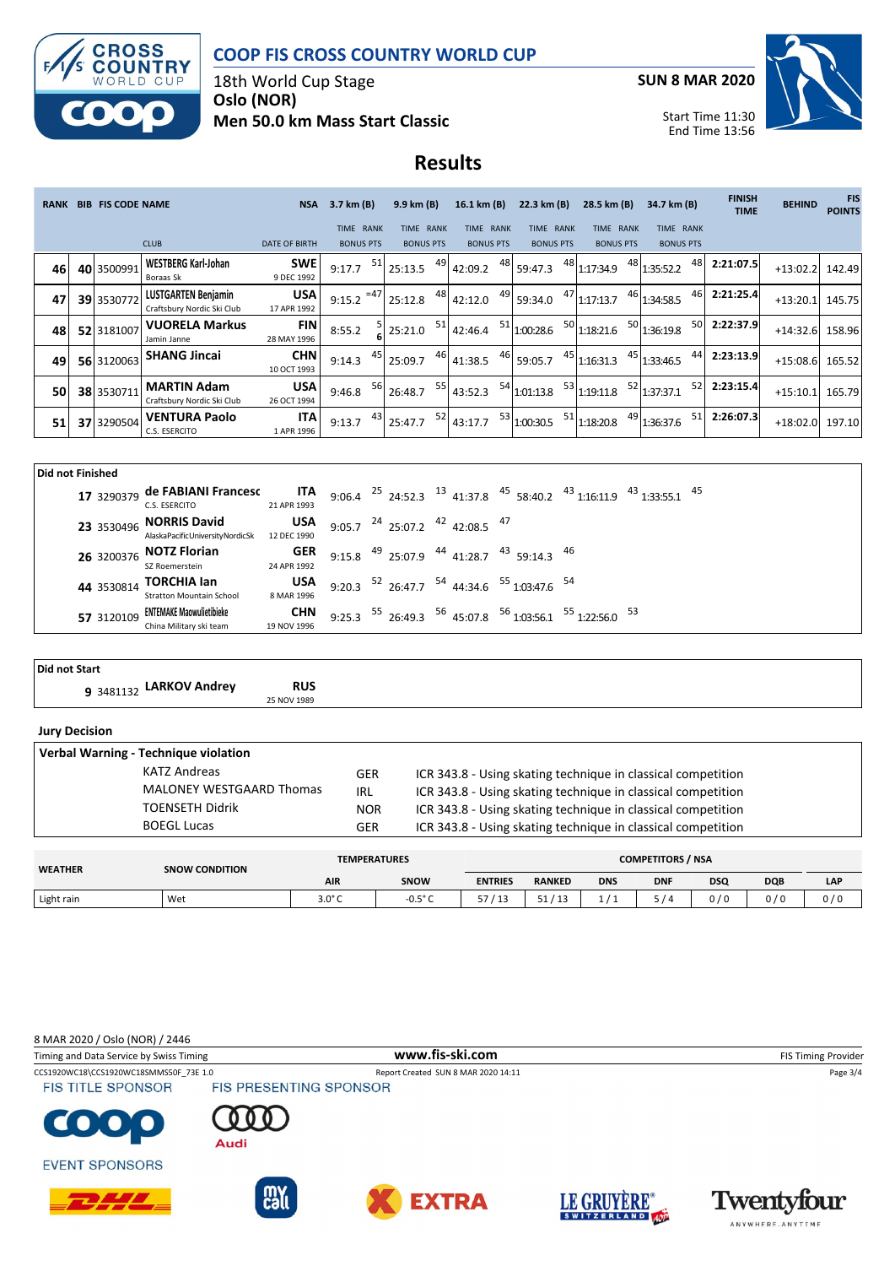



18th World Cup Stage **Oslo (NOR) Men 50.0 km Mass Start Classic** **SUN 8 MAR 2020**



Start Time 11:30 End Time 13:56

## **Results**

| <b>RANK</b> | <b>BIB FIS CODE NAME</b> |                                                          | <b>NSA</b>                | $3.7 \text{ km} (B)$ |       | 9.9 km(B)        |    | 16.1 km (B)      |    | 22.3 km (B)      |    | 28.5 km (B)      |    | 34.7 km (B)      |    | <b>FINISH</b><br><b>TIME</b> | <b>BEHIND</b>     | <b>FIS</b><br><b>POINTS</b> |
|-------------|--------------------------|----------------------------------------------------------|---------------------------|----------------------|-------|------------------|----|------------------|----|------------------|----|------------------|----|------------------|----|------------------------------|-------------------|-----------------------------|
|             |                          |                                                          |                           | TIME RANK            |       | TIME RANK        |    | TIME RANK        |    | TIME RANK        |    | <b>TIME RANK</b> |    | <b>TIME RANK</b> |    |                              |                   |                             |
|             |                          | <b>CLUB</b>                                              | <b>DATE OF BIRTH</b>      | <b>BONUS PTS</b>     |       | <b>BONUS PTS</b> |    | <b>BONUS PTS</b> |    | <b>BONUS PTS</b> |    | <b>BONUS PTS</b> |    | <b>BONUS PTS</b> |    |                              |                   |                             |
| 46          | 40 3500991               | <b>WESTBERG Karl-Johan</b><br>Boraas Sk                  | <b>SWE</b><br>9 DEC 1992  | 9:17.7               | 51    | 25:13.5          | 49 | 42:09.2          | 48 | 59:47.3          | 48 | 1:17:34.9        |    | 48 1:35:52.2     | 48 | 2:21:07.5                    | +13:02.2 142.49   |                             |
| 47          | 39 3530772               | <b>LUSTGARTEN Benjamin</b><br>Craftsbury Nordic Ski Club | <b>USA</b><br>17 APR 1992 | 9:15.2               | $=47$ | 25:12.8          | 48 | 42:12.0          | 49 | 59:34.0          | 47 | 1:17:13.7        |    | 46 1:34:58.5     | 46 | 2:21:25.4                    | +13:20.1 145.75   |                             |
| 48          | 52 3181007               | <b>VUORELA Markus</b><br>Jamin Janne                     | FIN<br>28 MAY 1996        | 8:55.2               |       | 25:21.0          | 51 | 42:46.4          | 51 | 1:00:28.6        | 50 | 1:18:21.6        |    | 50 1:36:19.8     | 50 | 2:22:37.9                    | +14:32.6 158.96   |                             |
| 49          | 56 3120063               | <b>SHANG Jincai</b>                                      | <b>CHN</b><br>10 OCT 1993 | 9:14.3               | 45    | 25:09.7          | 46 | 41:38.5          | 46 | 59:05.7          | 45 | 1:16:31.3        | 45 | 1:33:46.5        | 44 | 2:23:13.9                    | $+15:08.6$ 165.52 |                             |
| 50          | 38 3530711               | <b>MARTIN Adam</b><br>Craftsbury Nordic Ski Club         | <b>USA</b><br>26 OCT 1994 | 9:46.8               | 56    | 26:48.7          | 55 | 43:52.3          |    | 54 1:01:13.8     | 53 | 1:19:11.8        |    | 52 1:37:37.1     | 52 | 2:23:15.4                    | $+15:10.1$        | 165.79                      |
| 51          | 37 3290504               | <b>VENTURA Paolo</b><br>C.S. ESERCITO                    | <b>ITA</b><br>1 APR 1996  | 9:13.7               | 43    | 25:47.7          | 52 | 43:17.7          |    | 53 1:00:30.5     | 51 | 1:18:20.8        | 49 | 1:36:37.6        | 51 | 2:26:07.3                    | +18:02.0 197.10   |                             |

| Did not Finished |            |                                                            |                           |  |  |                                                |                                                                  |                                                                                                    |  |
|------------------|------------|------------------------------------------------------------|---------------------------|--|--|------------------------------------------------|------------------------------------------------------------------|----------------------------------------------------------------------------------------------------|--|
|                  | 17 3290379 | de FABIANI Francesc<br>C.S. ESERCITO                       | ITA<br>21 APR 1993        |  |  |                                                |                                                                  | 9:06.4 $^{25}$ 24:52.3 $^{13}$ 41:37.8 $^{45}$ 58:40.2 $^{43}$ 1:16:11.9 $^{43}$ 1:33:55.1 $^{45}$ |  |
|                  | 23 3530496 | <b>NORRIS David</b><br>AlaskaPacificUniversityNordicSk     | <b>USA</b><br>12 DEC 1990 |  |  | 9:05.7 $^{24}$ 25:07.2 $^{42}$ 42:08.5 $^{47}$ |                                                                  |                                                                                                    |  |
|                  | 26 3200376 | <b>NOTZ Florian</b><br>SZ Roemerstein                      | GER<br>24 APR 1992        |  |  |                                                | 9:15.8 $^{49}$ 25:07.9 $^{44}$ 41:28.7 $^{43}$ 59:14.3 $^{46}$   |                                                                                                    |  |
|                  | 44 3530814 | <b>TORCHIA lan</b><br><b>Stratton Mountain School</b>      | USA<br>8 MAR 1996         |  |  |                                                | 9:20.3 $^{52}$ 26:47.7 $^{54}$ 44:34.6 $^{55}$ 1:03:47.6 $^{54}$ |                                                                                                    |  |
|                  | 57 3120109 | <b>ENTEMAKE Maowulietibieke</b><br>China Military ski team | <b>CHN</b><br>19 NOV 1996 |  |  |                                                |                                                                  | 9:25.3 $^{55}$ 26:49.3 $^{56}$ 45:07.8 $^{56}$ 1:03:56.1 $^{55}$ 1:22:56.0 $^{53}$                 |  |

| Did not Start                        |                           |                                                              |  |  |  |  |  |  |  |  |  |
|--------------------------------------|---------------------------|--------------------------------------------------------------|--|--|--|--|--|--|--|--|--|
| 9 3481132 LARKOV Andrey              | <b>RUS</b><br>25 NOV 1989 |                                                              |  |  |  |  |  |  |  |  |  |
| <b>Jury Decision</b>                 |                           |                                                              |  |  |  |  |  |  |  |  |  |
| Verbal Warning - Technique violation |                           |                                                              |  |  |  |  |  |  |  |  |  |
| <b>KATZ Andreas</b>                  | <b>GER</b>                | ICR 343.8 - Using skating technique in classical competition |  |  |  |  |  |  |  |  |  |
| <b>MALONEY WESTGAARD Thomas</b>      | IRL                       | ICR 343.8 - Using skating technique in classical competition |  |  |  |  |  |  |  |  |  |
| <b>TOENSETH Didrik</b>               | <b>NOR</b>                | ICR 343.8 - Using skating technique in classical competition |  |  |  |  |  |  |  |  |  |

|                | <b>BOEGL Lucas</b>    | GER                 |                  |                | ICR 343.8 - Using skating technique in classical competition |            |                          |            |            |     |  |  |
|----------------|-----------------------|---------------------|------------------|----------------|--------------------------------------------------------------|------------|--------------------------|------------|------------|-----|--|--|
|                |                       |                     |                  |                |                                                              |            | <b>COMPETITORS / NSA</b> |            |            |     |  |  |
| <b>WEATHER</b> | <b>SNOW CONDITION</b> | <b>TEMPERATURES</b> |                  |                |                                                              |            |                          |            |            |     |  |  |
|                |                       | <b>AIR</b>          | SNOW             | <b>ENTRIES</b> | <b>RANKED</b>                                                | <b>DNS</b> | <b>DNF</b>               | <b>DSQ</b> | <b>DQB</b> | LAP |  |  |
| Light rain     | Wet                   | $3.0^\circ C$       | $-0.5^{\circ}$ C | 57/13          | 51/13                                                        | 1/1        | 5/4                      | 0/0        | 0/0        | 0/0 |  |  |

8 MAR 2020 / Oslo (NOR) / 2446

CCS1920WC18\CCS1920WC18SMMS50F\_73E 1.0 Report Created SUN 8 MAR 2020 14:11 Page 3/4<br>
FIS TITLE SPONSOR FIS PRESENTING SPONSOR Timing and Data Service by Swiss Timing **www.fis-ski.com www.fis-ski.com** FIS Timing Provider

**FIS TITLE SPONSOR** 







**EVENT SPONSORS**